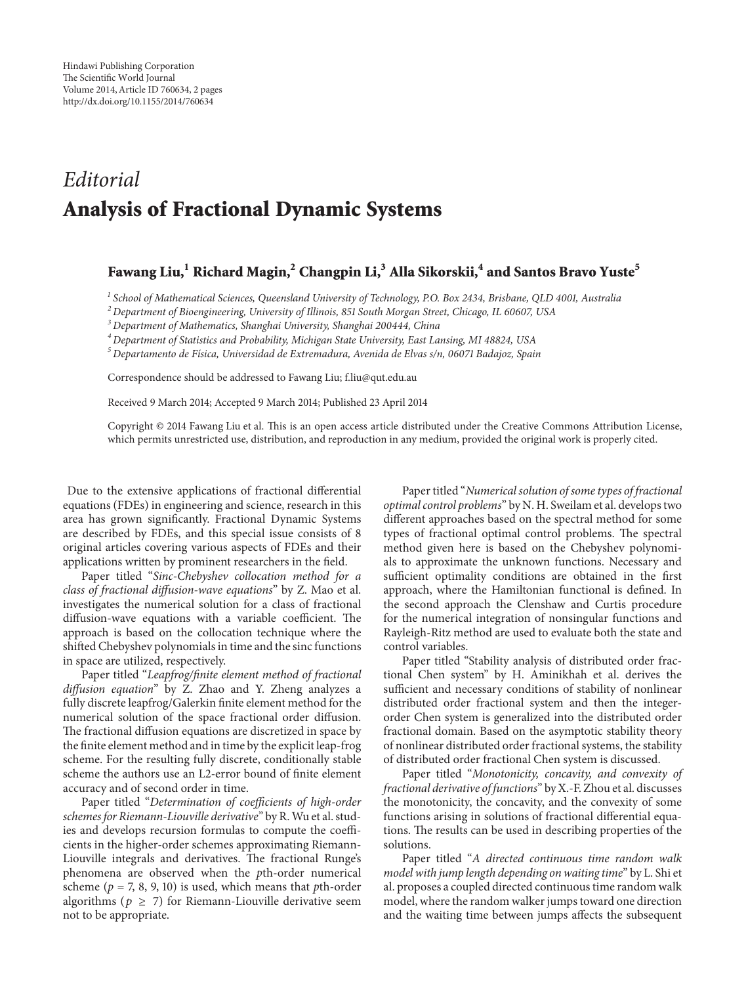## *Editorial* **Analysis of Fractional Dynamic Systems**

## **Fawang Liu,1 Richard Magin,2 Changpin Li,3 Alla Sikorskii,<sup>4</sup> and Santos Bravo Yuste<sup>5</sup>**

*<sup>1</sup> School of Mathematical Sciences, Queensland University of Technology, P.O. Box 2434, Brisbane, QLD 4001, Australia*

*<sup>2</sup> Department of Bioengineering, University of Illinois, 851 South Morgan Street, Chicago, IL 60607, USA*

*<sup>3</sup> Department of Mathematics, Shanghai University, Shanghai 200444, China*

*<sup>4</sup> Department of Statistics and Probability, Michigan State University, East Lansing, MI 48824, USA*

*<sup>5</sup> Departamento de F´ısica, Universidad de Extremadura, Avenida de Elvas s/n, 06071 Badajoz, Spain*

Correspondence should be addressed to Fawang Liu; f.liu@qut.edu.au

Received 9 March 2014; Accepted 9 March 2014; Published 23 April 2014

Copyright © 2014 Fawang Liu et al. This is an open access article distributed under the Creative Commons Attribution License, which permits unrestricted use, distribution, and reproduction in any medium, provided the original work is properly cited.

Due to the extensive applications of fractional differential equations (FDEs) in engineering and science, research in this area has grown significantly. Fractional Dynamic Systems are described by FDEs, and this special issue consists of 8 original articles covering various aspects of FDEs and their applications written by prominent researchers in the field.

Paper titled "*Sinc-Chebyshev collocation method for a class of fractional diffusion-wave equations*" by Z. Mao et al. investigates the numerical solution for a class of fractional diffusion-wave equations with a variable coefficient. The approach is based on the collocation technique where the shifted Chebyshev polynomials in time and the sinc functions in space are utilized, respectively.

Paper titled "*Leapfrog/finite element method of fractional diffusion equation*" by Z. Zhao and Y. Zheng analyzes a fully discrete leapfrog/Galerkin finite element method for the numerical solution of the space fractional order diffusion. The fractional diffusion equations are discretized in space by the finite element method and in time by the explicit leap-frog scheme. For the resulting fully discrete, conditionally stable scheme the authors use an L2-error bound of finite element accuracy and of second order in time.

Paper titled "*Determination of coefficients of high-order schemes for Riemann-Liouville derivative*" by R.Wu et al. studies and develops recursion formulas to compute the coefficients in the higher-order schemes approximating Riemann-Liouville integrals and derivatives. The fractional Runge's phenomena are observed when the *p*th-order numerical scheme (*p* = 7, 8, 9, 10) is used, which means that *p*th-order algorithms ( $p \geq 7$ ) for Riemann-Liouville derivative seem not to be appropriate.

Paper titled "*Numerical solution of some types of fractional optimal control problems*" by N. H. Sweilam et al. develops two different approaches based on the spectral method for some types of fractional optimal control problems. The spectral method given here is based on the Chebyshev polynomials to approximate the unknown functions. Necessary and sufficient optimality conditions are obtained in the first approach, where the Hamiltonian functional is defined. In the second approach the Clenshaw and Curtis procedure for the numerical integration of nonsingular functions and Rayleigh-Ritz method are used to evaluate both the state and control variables.

Paper titled "Stability analysis of distributed order fractional Chen system" by H. Aminikhah et al. derives the sufficient and necessary conditions of stability of nonlinear distributed order fractional system and then the integerorder Chen system is generalized into the distributed order fractional domain. Based on the asymptotic stability theory of nonlinear distributed order fractional systems, the stability of distributed order fractional Chen system is discussed.

Paper titled "*Monotonicity, concavity, and convexity of fractional derivative of functions*" by X.-F. Zhou et al. discusses the monotonicity, the concavity, and the convexity of some functions arising in solutions of fractional differential equations. The results can be used in describing properties of the solutions.

Paper titled "*A directed continuous time random walk model with jump length depending on waiting time*" by L. Shi et al. proposes a coupled directed continuous time random walk model, where the random walker jumps toward one direction and the waiting time between jumps affects the subsequent